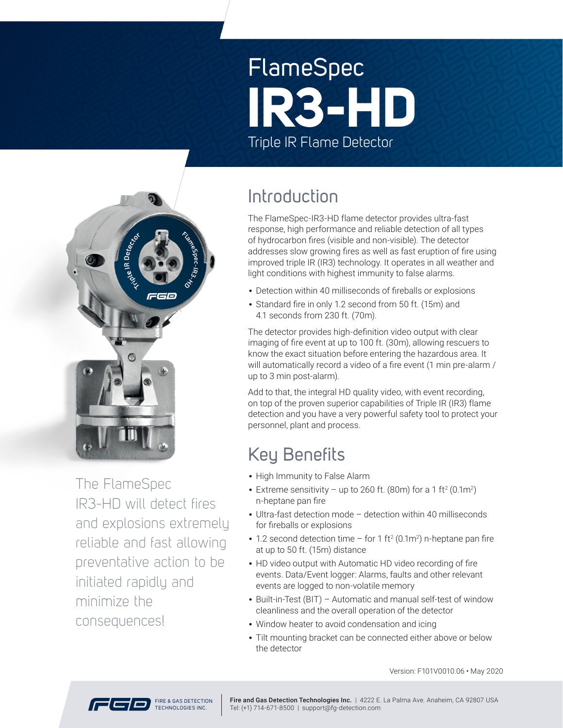# FlameSpec Triple IR Flame Detector **IR3-HD**



The FlameSpec IR3-HD will detect fires and explosions extremely reliable and fast allowing preventative action to be initiated rapidly and minimize the consequences!

### Introduction

The FlameSpec-IR3-HD flame detector provides ultra-fast response, high performance and reliable detection of all types of hydrocarbon fires (visible and non-visible). The detector addresses slow growing fires as well as fast eruption of fire using improved triple IR (IR3) technology. It operates in all weather and light conditions with highest immunity to false alarms.

- Detection within 40 milliseconds of fireballs or explosions
- Standard fire in only 1.2 second from 50 ft. (15m) and 4.1 seconds from 230 ft. (70m).

The detector provides high-definition video output with clear imaging of fire event at up to 100 ft. (30m), allowing rescuers to know the exact situation before entering the hazardous area. It will automatically record a video of a fire event (1 min pre-alarm / up to 3 min post-alarm).

Add to that, the integral HD quality video, with event recording, on top of the proven superior capabilities of Triple IR (IR3) flame detection and you have a very powerful safety tool to protect your personnel, plant and process.

### Key Benefits

- High Immunity to False Alarm
- Extreme sensitivity up to 260 ft. (80m) for a 1 ft<sup>2</sup> (0.1m<sup>2</sup>) n-heptane pan fire
- Ultra-fast detection mode detection within 40 milliseconds for fireballs or explosions
- 1.2 second detection time for 1 ft<sup>2</sup> (0.1m<sup>2</sup>) n-heptane pan fire at up to 50 ft. (15m) distance
- HD video output with Automatic HD video recording of fire events. Data/Event logger: Alarms, faults and other relevant events are logged to non-volatile memory
- Built-in-Test (BIT) Automatic and manual self-test of window cleanliness and the overall operation of the detector
- Window heater to avoid condensation and icing
- Tilt mounting bracket can be connected either above or below the detector

Version: F101V0010.06 • May 20 20

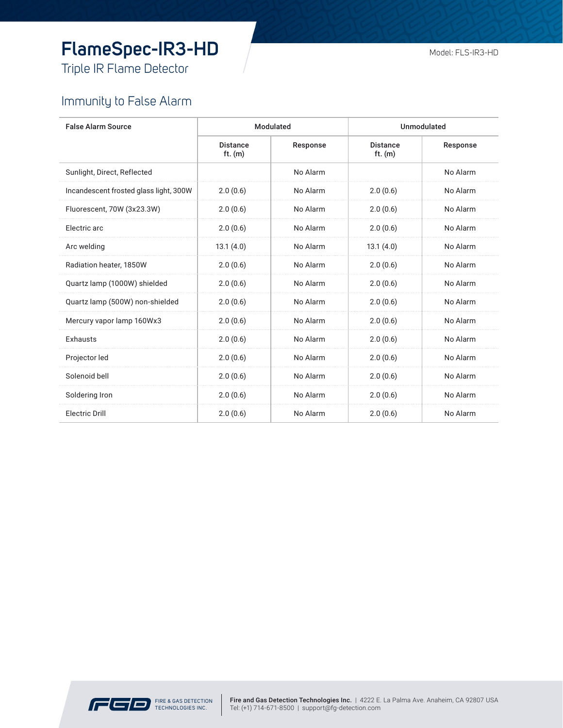# **FlameSpec-IR3-HD**

Triple IR Flame Detector

#### Immunity to False Alarm

| <b>False Alarm Source</b>              | Modulated                    |          | <b>Unmodulated</b>           |          |
|----------------------------------------|------------------------------|----------|------------------------------|----------|
|                                        | <b>Distance</b><br>ft. $(m)$ | Response | <b>Distance</b><br>ft. $(m)$ | Response |
| Sunlight, Direct, Reflected            |                              | No Alarm |                              | No Alarm |
| Incandescent frosted glass light, 300W | 2.0(0.6)                     | No Alarm | 2.0(0.6)                     | No Alarm |
| Fluorescent, 70W (3x23.3W)             | 2.0(0.6)                     | No Alarm | 2.0(0.6)                     | No Alarm |
| Electric arc                           | 2.0(0.6)                     | No Alarm | 2.0(0.6)                     | No Alarm |
| Arc welding                            | 13.1(4.0)                    | No Alarm | 13.1(4.0)                    | No Alarm |
| Radiation heater, 1850W                | 2.0(0.6)                     | No Alarm | 2.0(0.6)                     | No Alarm |
| Quartz lamp (1000W) shielded           | 2.0(0.6)                     | No Alarm | 2.0(0.6)                     | No Alarm |
| Quartz lamp (500W) non-shielded        | 2.0(0.6)                     | No Alarm | 2.0(0.6)                     | No Alarm |
| Mercury vapor lamp 160Wx3              | 2.0(0.6)                     | No Alarm | 2.0(0.6)                     | No Alarm |
| <b>Exhausts</b>                        | 2.0(0.6)                     | No Alarm | 2.0(0.6)                     | No Alarm |
| Projector led                          | 2.0(0.6)                     | No Alarm | 2.0(0.6)                     | No Alarm |
| Solenoid bell                          | 2.0(0.6)                     | No Alarm | 2.0(0.6)                     | No Alarm |
| Soldering Iron                         | 2.0(0.6)                     | No Alarm | 2.0(0.6)                     | No Alarm |
| <b>Electric Drill</b>                  | 2.0(0.6)                     | No Alarm | 2.0(0.6)                     | No Alarm |

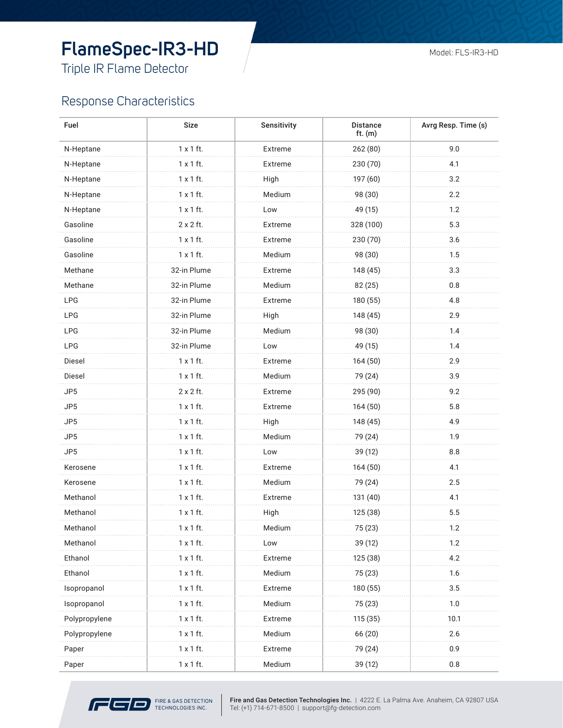# **FlameSpec-IR3-HD**

Triple IR Flame Detector

#### Response Characteristics

| Fuel            | <b>Size</b>      | Sensitivity | <b>Distance</b><br>ft. $(m)$ | Avrg Resp. Time (s) |
|-----------------|------------------|-------------|------------------------------|---------------------|
| N-Heptane       | $1 \times 1$ ft. | Extreme     | 262(80)                      | 9.0                 |
| N-Heptane       | $1 \times 1$ ft. | Extreme     | 230 (70)                     | 4.1                 |
| N-Heptane       | $1 \times 1$ ft. | High        | 197 (60)                     | 3.2                 |
| N-Heptane       | $1 \times 1$ ft. | Medium      | 98 (30)                      | 2.2                 |
| N-Heptane       | $1 \times 1$ ft. | Low         | 49 (15)                      | 1.2                 |
| Gasoline        | 2 x 2 ft.        | Extreme     | 328 (100)                    | 5.3                 |
| Gasoline        | $1 \times 1$ ft. | Extreme     | 230 (70)                     | 3.6                 |
| Gasoline        | $1 \times 1$ ft. | Medium      | 98 (30)                      | 1.5                 |
| Methane         | 32-in Plume      | Extreme     | 148 (45)                     | 3.3                 |
| Methane         | 32-in Plume      | Medium      | 82 (25)                      | 0.8                 |
| <b>LPG</b>      | 32-in Plume      | Extreme     | 180 (55)                     | 4.8                 |
| <b>LPG</b>      | 32-in Plume      | High        | 148 (45)                     | 2.9                 |
| <b>LPG</b>      | 32-in Plume      | Medium      | 98 (30)                      | 1.4                 |
| <b>LPG</b>      | 32-in Plume      | Low         | 49 (15)                      | 1.4                 |
| Diesel          | $1 \times 1$ ft. | Extreme     | 164(50)                      | 2.9                 |
| Diesel          | $1 \times 1$ ft. | Medium      | 79 (24)                      | 3.9                 |
| JP5             | 2 x 2 ft.        | Extreme     | 295 (90)                     | 9.2                 |
| JP <sub>5</sub> | $1 \times 1$ ft. | Extreme     | 164(50)                      | 5.8                 |
| JP <sub>5</sub> | $1 \times 1$ ft. | High        | 148 (45)                     | 4.9                 |
| JP <sub>5</sub> | $1 \times 1$ ft. | Medium      | 79 (24)                      | 1.9                 |
| JP5             | $1 \times 1$ ft. | Low         | 39 (12)                      | 8.8                 |
| Kerosene        | $1 \times 1$ ft. | Extreme     | 164(50)                      | 4.1                 |
| Kerosene        | $1 \times 1$ ft. | Medium      | 79 (24)                      | 2.5                 |
| Methanol        | $1 \times 1$ ft. | Extreme     | 131 (40)                     | 4.1                 |
| Methanol        | $1 \times 1$ ft. | High        | 125 (38)                     | 5.5                 |
| Methanol        | $1 \times 1$ ft. | Medium      | 75 (23)                      | 1.2                 |
| Methanol        | $1 \times 1$ ft. | Low         | 39 (12)                      | 1.2                 |
| Ethanol         | $1 \times 1$ ft. | Extreme     | 125 (38)                     | 4.2                 |
| Ethanol         | $1 \times 1$ ft. | Medium      | 75 (23)                      | 1.6                 |
| Isopropanol     | $1 \times 1$ ft. | Extreme     | 180 (55)                     | 3.5                 |
| Isopropanol     | $1 \times 1$ ft. | Medium      | 75 (23)                      | 1.0                 |
| Polypropylene   | $1 \times 1$ ft. | Extreme     | 115 (35)                     | 10.1                |
| Polypropylene   | $1 \times 1$ ft. | Medium      | 66 (20)                      | 2.6                 |
| Paper           | $1 \times 1$ ft. | Extreme     | 79 (24)                      | 0.9                 |
| Paper           | 1 x 1 ft.        | Medium      | 39 (12)                      | 0.8                 |